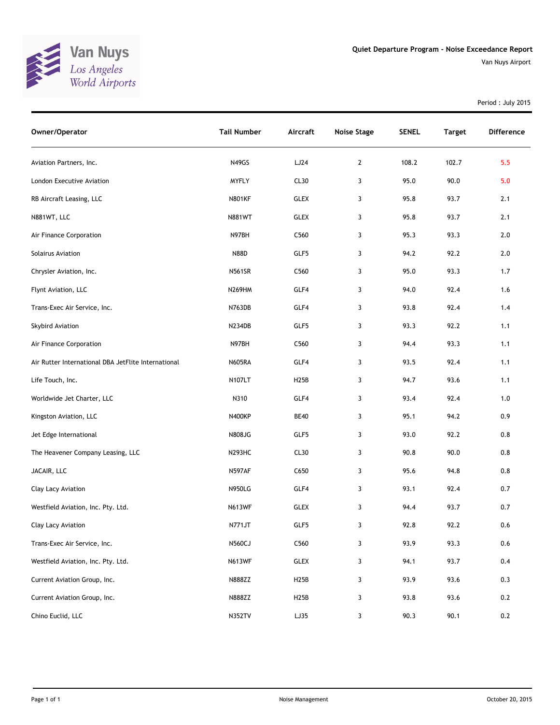

Van Nuys Airport

Period : July 2015

| Owner/Operator                                      | <b>Tail Number</b> | Aircraft          | <b>Noise Stage</b> | <b>SENEL</b> | <b>Target</b> | <b>Difference</b> |
|-----------------------------------------------------|--------------------|-------------------|--------------------|--------------|---------------|-------------------|
| Aviation Partners, Inc.                             | N49GS              | LJ24              | $\overline{2}$     | 108.2        | 102.7         | 5.5               |
| London Executive Aviation                           | <b>MYFLY</b>       | CL <sub>30</sub>  | 3                  | 95.0         | 90.0          | 5.0               |
| RB Aircraft Leasing, LLC                            | <b>N801KF</b>      | <b>GLEX</b>       | 3                  | 95.8         | 93.7          | 2.1               |
| N881WT, LLC                                         | <b>N881WT</b>      | <b>GLEX</b>       | 3                  | 95.8         | 93.7          | 2.1               |
| Air Finance Corporation                             | N97BH              | C560              | 3                  | 95.3         | 93.3          | 2.0               |
| Solairus Aviation                                   | <b>N88D</b>        | GLF5              | 3                  | 94.2         | 92.2          | $2.0$             |
| Chrysler Aviation, Inc.                             | <b>N561SR</b>      | C <sub>560</sub>  | 3                  | 95.0         | 93.3          | 1.7               |
| Flynt Aviation, LLC                                 | <b>N269HM</b>      | GLF4              | 3                  | 94.0         | 92.4          | 1.6               |
| Trans-Exec Air Service, Inc.                        | N763DB             | GLF4              | 3                  | 93.8         | 92.4          | 1.4               |
| Skybird Aviation                                    | N234DB             | GLF5              | 3                  | 93.3         | 92.2          | 1.1               |
| Air Finance Corporation                             | N97BH              | C560              | 3                  | 94.4         | 93.3          | 1.1               |
| Air Rutter International DBA JetFlite International | <b>N605RA</b>      | GLF4              | 3                  | 93.5         | 92.4          | 1.1               |
| Life Touch, Inc.                                    | N107LT             | H <sub>25</sub> B | 3                  | 94.7         | 93.6          | 1.1               |
| Worldwide Jet Charter, LLC                          | N310               | GLF4              | 3                  | 93.4         | 92.4          | 1.0               |
| Kingston Aviation, LLC                              | <b>N400KP</b>      | <b>BE40</b>       | 3                  | 95.1         | 94.2          | 0.9               |
| Jet Edge International                              | N808JG             | GLF5              | 3                  | 93.0         | 92.2          | 0.8               |
| The Heavener Company Leasing, LLC                   | <b>N293HC</b>      | CL30              | 3                  | 90.8         | 90.0          | 0.8               |
| JACAIR, LLC                                         | <b>N597AF</b>      | C650              | 3                  | 95.6         | 94.8          | 0.8               |
| Clay Lacy Aviation                                  | <b>N950LG</b>      | GLF4              | 3                  | 93.1         | 92.4          | 0.7               |
| Westfield Aviation, Inc. Pty. Ltd.                  | <b>N613WF</b>      | <b>GLEX</b>       | 3                  | 94.4         | 93.7          | 0.7               |
| Clay Lacy Aviation                                  | N771JT             | GLF5              | 3                  | 92.8         | 92.2          | 0.6               |
| Trans-Exec Air Service, Inc.                        | <b>N560CJ</b>      | C560              | 3                  | 93.9         | 93.3          | 0.6               |
| Westfield Aviation, Inc. Pty. Ltd.                  | <b>N613WF</b>      | <b>GLEX</b>       | 3                  | 94.1         | 93.7          | 0.4               |
| Current Aviation Group, Inc.                        | N888ZZ             | <b>H25B</b>       | 3                  | 93.9         | 93.6          | 0.3               |
| Current Aviation Group, Inc.                        | N888ZZ             | <b>H25B</b>       | 3                  | 93.8         | 93.6          | 0.2               |
| Chino Euclid, LLC                                   | <b>N352TV</b>      | LJ35              | 3                  | 90.3         | 90.1          | $0.2\,$           |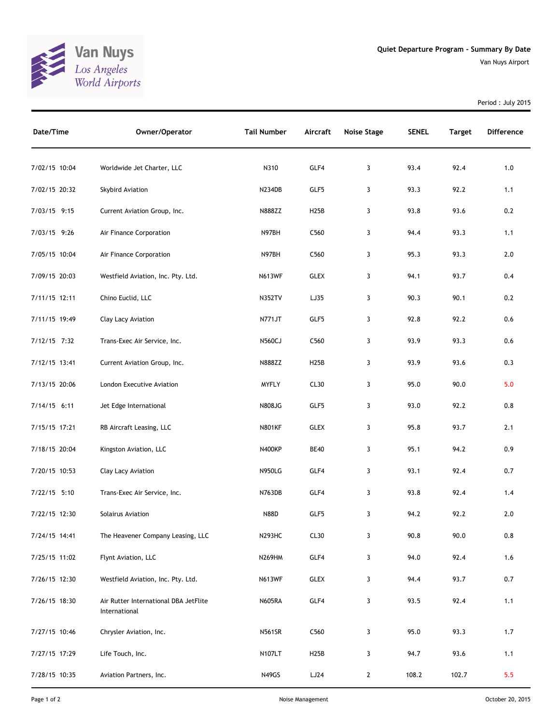

Period : July 2015

| Date/Time     | Owner/Operator                                         | <b>Tail Number</b> | Aircraft         | Noise Stage  | <b>SENEL</b> | <b>Target</b> | <b>Difference</b> |
|---------------|--------------------------------------------------------|--------------------|------------------|--------------|--------------|---------------|-------------------|
| 7/02/15 10:04 | Worldwide Jet Charter, LLC                             | N310               | GLF4             | 3            | 93.4         | 92.4          | 1.0               |
| 7/02/15 20:32 | Skybird Aviation                                       | N234DB             | GLF5             | 3            | 93.3         | 92.2          | 1.1               |
| 7/03/15 9:15  | Current Aviation Group, Inc.                           | N888ZZ             | H25B             | 3            | 93.8         | 93.6          | 0.2               |
| 7/03/15 9:26  | Air Finance Corporation                                | N97BH              | C <sub>560</sub> | 3            | 94.4         | 93.3          | 1.1               |
| 7/05/15 10:04 | Air Finance Corporation                                | N97BH              | C <sub>560</sub> | 3            | 95.3         | 93.3          | 2.0               |
| 7/09/15 20:03 | Westfield Aviation, Inc. Pty. Ltd.                     | <b>N613WF</b>      | <b>GLEX</b>      | 3            | 94.1         | 93.7          | 0.4               |
| 7/11/15 12:11 | Chino Euclid, LLC                                      | <b>N352TV</b>      | LJ35             | 3            | 90.3         | 90.1          | 0.2               |
| 7/11/15 19:49 | Clay Lacy Aviation                                     | N771JT             | GLF5             | 3            | 92.8         | 92.2          | 0.6               |
| 7/12/15 7:32  | Trans-Exec Air Service, Inc.                           | <b>N560CJ</b>      | C560             | 3            | 93.9         | 93.3          | 0.6               |
| 7/12/15 13:41 | Current Aviation Group, Inc.                           | N888ZZ             | H25B             | 3            | 93.9         | 93.6          | 0.3               |
| 7/13/15 20:06 | London Executive Aviation                              | <b>MYFLY</b>       | CL30             | 3            | 95.0         | 90.0          | 5.0               |
| 7/14/15 6:11  | Jet Edge International                                 | <b>N808JG</b>      | GLF5             | 3            | 93.0         | 92.2          | 0.8               |
| 7/15/15 17:21 | RB Aircraft Leasing, LLC                               | <b>N801KF</b>      | <b>GLEX</b>      | 3            | 95.8         | 93.7          | 2.1               |
| 7/18/15 20:04 | Kingston Aviation, LLC                                 | <b>N400KP</b>      | <b>BE40</b>      | 3            | 95.1         | 94.2          | 0.9               |
| 7/20/15 10:53 | Clay Lacy Aviation                                     | <b>N950LG</b>      | GLF4             | 3            | 93.1         | 92.4          | 0.7               |
| 7/22/15 5:10  | Trans-Exec Air Service, Inc.                           | N763DB             | GLF4             | 3            | 93.8         | 92.4          | 1.4               |
| 7/22/15 12:30 | Solairus Aviation                                      | <b>N88D</b>        | GLF5             | 3            | 94.2         | 92.2          | 2.0               |
| 7/24/15 14:41 | The Heavener Company Leasing, LLC                      | N293HC             | CL30             | 3            | 90.8         | 90.0          | 0.8               |
| 7/25/15 11:02 | Flynt Aviation, LLC                                    | <b>N269HM</b>      | GLF4             | 3            | 94.0         | 92.4          | 1.6               |
| 7/26/15 12:30 | Westfield Aviation, Inc. Pty. Ltd.                     | <b>N613WF</b>      | <b>GLEX</b>      | 3            | 94.4         | 93.7          | 0.7               |
| 7/26/15 18:30 | Air Rutter International DBA JetFlite<br>International | <b>N605RA</b>      | GLF4             | 3            | 93.5         | 92.4          | 1.1               |
| 7/27/15 10:46 | Chrysler Aviation, Inc.                                | <b>N561SR</b>      | C <sub>560</sub> | 3            | 95.0         | 93.3          | 1.7               |
| 7/27/15 17:29 | Life Touch, Inc.                                       | <b>N107LT</b>      | <b>H25B</b>      | 3            | 94.7         | 93.6          | 1.1               |
| 7/28/15 10:35 | Aviation Partners, Inc.                                | N49GS              | LJ24             | $\mathbf{2}$ | 108.2        | 102.7         | 5.5               |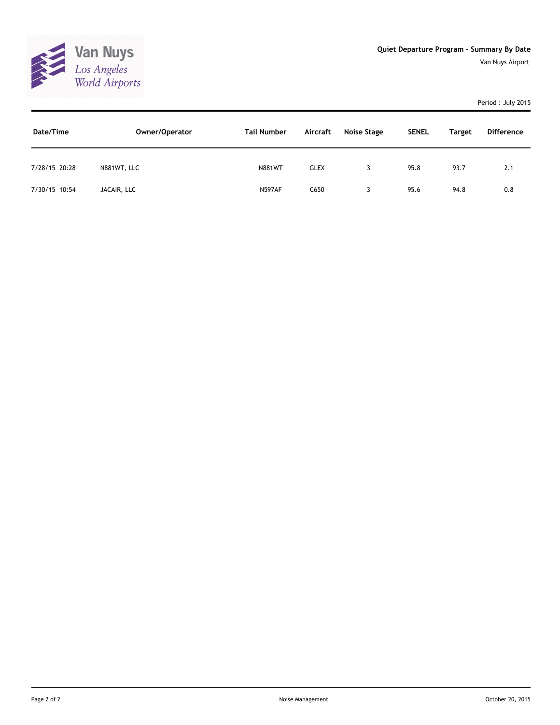

## Period : July 2015

| Date/Time     | Owner/Operator | <b>Tail Number</b> | Aircraft    | Noise Stage | <b>SENEL</b> | <b>Target</b> | <b>Difference</b> |
|---------------|----------------|--------------------|-------------|-------------|--------------|---------------|-------------------|
| 7/28/15 20:28 | N881WT, LLC    | <b>N881WT</b>      | <b>GLEX</b> |             | 95.8         | 93.7          | 2.1               |
| 7/30/15 10:54 | JACAIR, LLC    | <b>N597AF</b>      | C650        |             | 95.6         | 94.8          | 0.8               |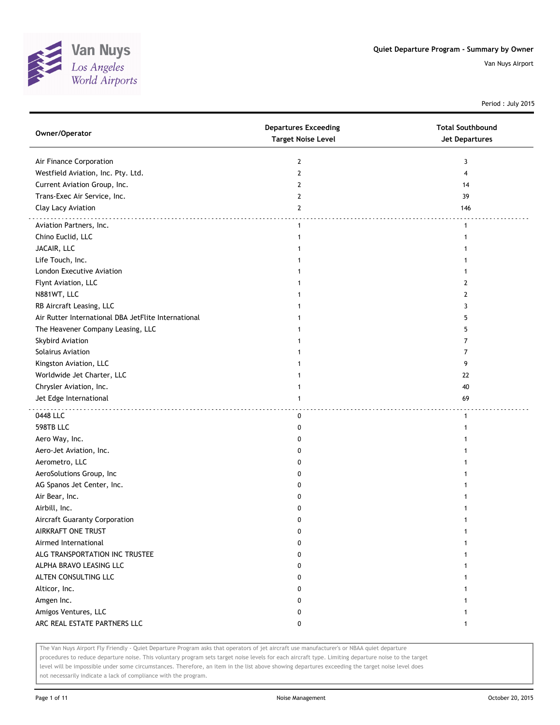

Period : July 2015

| Owner/Operator                                      | <b>Departures Exceeding</b><br><b>Target Noise Level</b> | <b>Total Southbound</b><br><b>Jet Departures</b> |
|-----------------------------------------------------|----------------------------------------------------------|--------------------------------------------------|
| Air Finance Corporation                             | 2                                                        | 3                                                |
| Westfield Aviation, Inc. Pty. Ltd.                  | $\mathbf{2}$                                             | 4                                                |
| Current Aviation Group, Inc.                        | 2                                                        | 14                                               |
| Trans-Exec Air Service, Inc.                        | 2                                                        | 39                                               |
| Clay Lacy Aviation                                  | $\mathbf{2}$                                             | 146                                              |
| Aviation Partners, Inc.                             | $\mathbf{1}$                                             | $\mathbf{1}$                                     |
| Chino Euclid, LLC                                   | 1                                                        | 1                                                |
| JACAIR, LLC                                         |                                                          |                                                  |
| Life Touch, Inc.                                    |                                                          |                                                  |
| London Executive Aviation                           |                                                          |                                                  |
| Flynt Aviation, LLC                                 |                                                          | 2                                                |
| N881WT, LLC                                         |                                                          | 2                                                |
| RB Aircraft Leasing, LLC                            |                                                          | 3                                                |
| Air Rutter International DBA JetFlite International |                                                          | 5                                                |
| The Heavener Company Leasing, LLC                   |                                                          | 5                                                |
| Skybird Aviation                                    |                                                          | 7                                                |
| Solairus Aviation                                   |                                                          | 7                                                |
| Kingston Aviation, LLC                              |                                                          | 9                                                |
| Worldwide Jet Charter, LLC                          |                                                          | 22                                               |
| Chrysler Aviation, Inc.                             |                                                          | 40                                               |
| Jet Edge International                              | 1                                                        | 69                                               |
| 0448 LLC                                            | 0                                                        | $\mathbf{1}$                                     |
| 598TB LLC                                           | 0                                                        | 1                                                |
| Aero Way, Inc.                                      | 0                                                        |                                                  |
| Aero-Jet Aviation, Inc.                             | 0                                                        |                                                  |
| Aerometro, LLC                                      | 0                                                        |                                                  |
| AeroSolutions Group, Inc                            | 0                                                        |                                                  |
| AG Spanos Jet Center, Inc.                          | 0                                                        |                                                  |
| Air Bear, Inc.                                      | 0                                                        |                                                  |
| Airbill, Inc.                                       | 0                                                        |                                                  |
| Aircraft Guaranty Corporation                       | 0                                                        | 1                                                |
| AIRKRAFT ONE TRUST                                  | 0                                                        |                                                  |
| Airmed International                                | 0                                                        |                                                  |
| ALG TRANSPORTATION INC TRUSTEE                      | 0                                                        |                                                  |
| ALPHA BRAVO LEASING LLC                             | 0                                                        | 1                                                |
| ALTEN CONSULTING LLC                                | 0                                                        | 1                                                |
| Alticor, Inc.                                       | 0                                                        |                                                  |
| Amgen Inc.                                          | 0                                                        |                                                  |
| Amigos Ventures, LLC                                | 0                                                        | 1                                                |
| ARC REAL ESTATE PARTNERS LLC                        | 0                                                        | 1                                                |

The Van Nuys Airport Fly Friendly - Quiet Departure Program asks that operators of jet aircraft use manufacturer's or NBAA quiet departure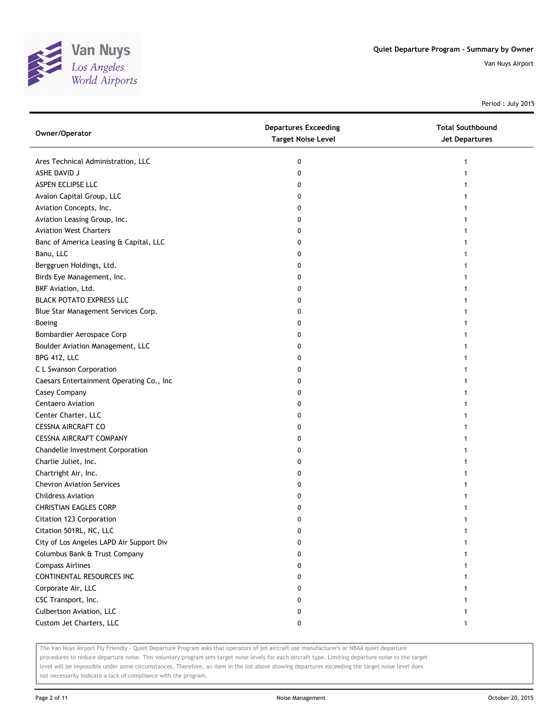

Period : July 2015

| Owner/Operator                           | <b>Departures Exceeding</b><br><b>Target Noise Level</b> | <b>Total Southbound</b><br><b>Jet Departures</b> |
|------------------------------------------|----------------------------------------------------------|--------------------------------------------------|
| Ares Technical Administration, LLC       | 0                                                        | 1                                                |
| ASHE DAVID J                             | 0                                                        | 1                                                |
| ASPEN ECLIPSE LLC                        | 0                                                        |                                                  |
| Avalon Capital Group, LLC                | 0                                                        |                                                  |
| Aviation Concepts, Inc.                  | 0                                                        |                                                  |
| Aviation Leasing Group, Inc.             | 0                                                        |                                                  |
| <b>Aviation West Charters</b>            | 0                                                        |                                                  |
| Banc of America Leasing & Capital, LLC   | 0                                                        | 1                                                |
| Banu, LLC                                | 0                                                        |                                                  |
| Berggruen Holdings, Ltd.                 | 0                                                        |                                                  |
| Birds Eye Management, Inc.               | 0                                                        |                                                  |
| BKF Aviation, Ltd.                       | 0                                                        |                                                  |
| <b>BLACK POTATO EXPRESS LLC</b>          | 0                                                        |                                                  |
| Blue Star Management Services Corp.      | 0                                                        |                                                  |
| Boeing                                   | 0                                                        |                                                  |
| Bombardier Aerospace Corp                | 0                                                        |                                                  |
| Boulder Aviation Management, LLC         | 0                                                        |                                                  |
| BPG 412, LLC                             | 0                                                        | 1                                                |
| C L Swanson Corporation                  | 0                                                        |                                                  |
| Caesars Entertainment Operating Co., Inc | 0                                                        |                                                  |
| Casey Company                            | 0                                                        |                                                  |
| Centaero Aviation                        | 0                                                        |                                                  |
| Center Charter, LLC                      | 0                                                        |                                                  |
| <b>CESSNA AIRCRAFT CO</b>                | 0                                                        |                                                  |
| CESSNA AIRCRAFT COMPANY                  | 0                                                        |                                                  |
| Chandelle Investment Corporation         | 0                                                        |                                                  |
| Charlie Juliet, Inc.                     | 0                                                        |                                                  |
| Chartright Air, Inc.                     | 0                                                        | 1                                                |
| <b>Chevron Aviation Services</b>         | 0                                                        |                                                  |
| <b>Childress Aviation</b>                | 0                                                        |                                                  |
| <b>CHRISTIAN EAGLES CORP</b>             | 0                                                        |                                                  |
| Citation 123 Corporation                 | 0                                                        |                                                  |
| Citation 501RL, NC, LLC                  | U                                                        |                                                  |
| City of Los Angeles LAPD Air Support Div | 0                                                        |                                                  |
| Columbus Bank & Trust Company            | 0                                                        |                                                  |
| <b>Compass Airlines</b>                  | 0                                                        |                                                  |
| CONTINENTAL RESOURCES INC                | 0                                                        |                                                  |
| Corporate Air, LLC                       | 0                                                        |                                                  |
| CSC Transport, Inc.                      | 0                                                        |                                                  |
| Culbertson Aviation, LLC                 | 0                                                        |                                                  |
| Custom Jet Charters, LLC                 | 0                                                        | 1                                                |

The Van Nuys Airport Fly Friendly - Quiet Departure Program asks that operators of jet aircraft use manufacturer's or NBAA quiet departure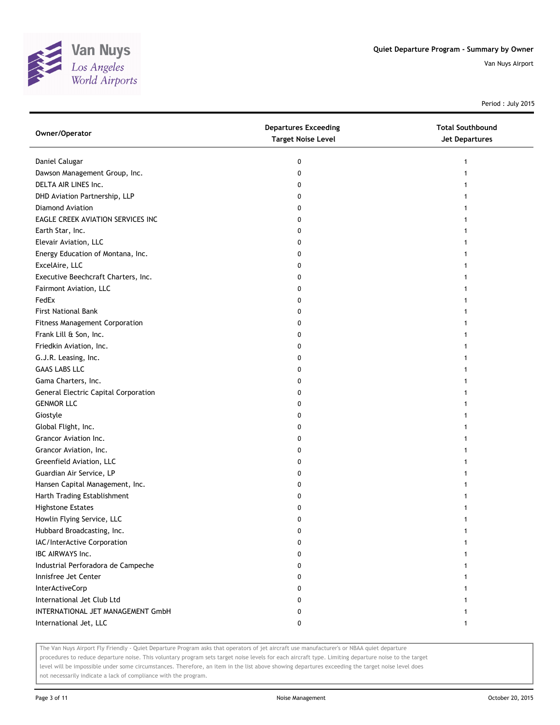

Period : July 2015

| Owner/Operator                              | <b>Departures Exceeding</b><br><b>Target Noise Level</b> | <b>Total Southbound</b><br>Jet Departures |
|---------------------------------------------|----------------------------------------------------------|-------------------------------------------|
| Daniel Calugar                              | 0                                                        |                                           |
| Dawson Management Group, Inc.               | 0                                                        |                                           |
| DELTA AIR LINES Inc.                        | 0                                                        |                                           |
| DHD Aviation Partnership, LLP               | 0                                                        |                                           |
| Diamond Aviation                            | 0                                                        |                                           |
| EAGLE CREEK AVIATION SERVICES INC           | 0                                                        |                                           |
| Earth Star, Inc.                            | 0                                                        |                                           |
| Elevair Aviation, LLC                       | 0                                                        |                                           |
| Energy Education of Montana, Inc.           | 0                                                        |                                           |
| ExcelAire, LLC                              | 0                                                        |                                           |
| Executive Beechcraft Charters, Inc.         | 0                                                        |                                           |
| Fairmont Aviation, LLC                      | 0                                                        |                                           |
| FedEx                                       | 0                                                        |                                           |
| <b>First National Bank</b>                  | 0                                                        |                                           |
| Fitness Management Corporation              | 0                                                        |                                           |
| Frank Lill & Son, Inc.                      | 0                                                        |                                           |
| Friedkin Aviation, Inc.                     | 0                                                        |                                           |
| G.J.R. Leasing, Inc.                        | 0                                                        |                                           |
| <b>GAAS LABS LLC</b>                        | 0                                                        |                                           |
| Gama Charters, Inc.                         | 0                                                        |                                           |
| <b>General Electric Capital Corporation</b> | 0                                                        |                                           |
| <b>GENMOR LLC</b>                           | 0                                                        |                                           |
| Giostyle                                    | 0                                                        |                                           |
| Global Flight, Inc.                         | 0                                                        |                                           |
| Grancor Aviation Inc.                       | 0                                                        |                                           |
| Grancor Aviation, Inc.                      | 0                                                        |                                           |
| Greenfield Aviation, LLC                    | 0                                                        |                                           |
| Guardian Air Service, LP                    | 0                                                        |                                           |
| Hansen Capital Management, Inc.             | 0                                                        |                                           |
| Harth Trading Establishment                 | 0                                                        |                                           |
| <b>Highstone Estates</b>                    | 0                                                        |                                           |
| Howlin Flying Service, LLC                  | 0                                                        |                                           |
| Hubbard Broadcasting, Inc.                  | U                                                        |                                           |
| IAC/InterActive Corporation                 | 0                                                        |                                           |
| IBC AIRWAYS Inc.                            | 0                                                        |                                           |
| Industrial Perforadora de Campeche          | 0                                                        |                                           |
| Innisfree Jet Center                        | 0                                                        |                                           |
| InterActiveCorp                             | 0                                                        |                                           |
| International Jet Club Ltd                  | 0                                                        |                                           |
| INTERNATIONAL JET MANAGEMENT GmbH           | 0                                                        |                                           |
| International Jet, LLC                      | 0                                                        | 1                                         |

The Van Nuys Airport Fly Friendly - Quiet Departure Program asks that operators of jet aircraft use manufacturer's or NBAA quiet departure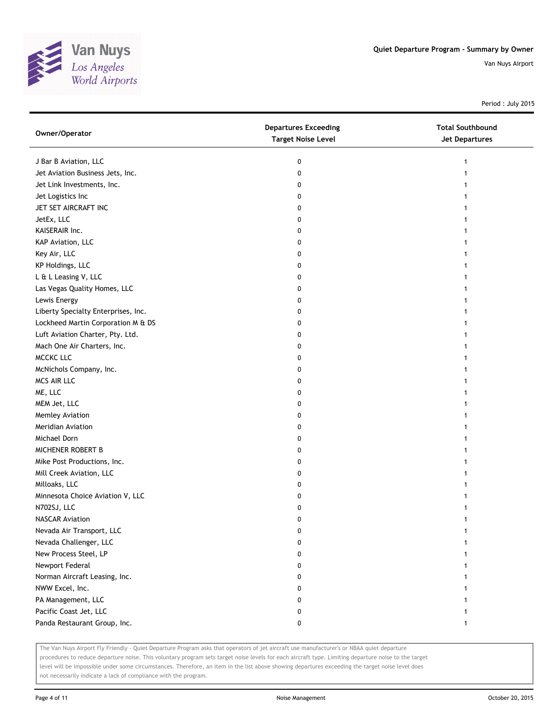

Period : July 2015

| Owner/Operator                      | <b>Departures Exceeding</b><br><b>Target Noise Level</b> | <b>Total Southbound</b><br><b>Jet Departures</b> |
|-------------------------------------|----------------------------------------------------------|--------------------------------------------------|
| J Bar B Aviation, LLC               | 0                                                        | 1                                                |
| Jet Aviation Business Jets, Inc.    | 0                                                        |                                                  |
| Jet Link Investments, Inc.          | 0                                                        |                                                  |
| Jet Logistics Inc                   | 0                                                        |                                                  |
| JET SET AIRCRAFT INC                | 0                                                        |                                                  |
| JetEx, LLC                          | 0                                                        |                                                  |
| KAISERAIR Inc.                      | 0                                                        |                                                  |
| KAP Aviation, LLC                   | 0                                                        |                                                  |
| Key Air, LLC                        | 0                                                        |                                                  |
| KP Holdings, LLC                    | 0                                                        |                                                  |
| L & L Leasing V, LLC                | 0                                                        |                                                  |
| Las Vegas Quality Homes, LLC        | 0                                                        |                                                  |
| Lewis Energy                        | 0                                                        |                                                  |
| Liberty Specialty Enterprises, Inc. | 0                                                        |                                                  |
| Lockheed Martin Corporation M & DS  | 0                                                        |                                                  |
| Luft Aviation Charter, Pty. Ltd.    | 0                                                        |                                                  |
| Mach One Air Charters, Inc.         | 0                                                        |                                                  |
| MCCKC LLC                           | 0                                                        | 1                                                |
| McNichols Company, Inc.             | 0                                                        |                                                  |
| MCS AIR LLC                         | 0                                                        |                                                  |
| ME, LLC                             | 0                                                        |                                                  |
| MEM Jet, LLC                        | 0                                                        |                                                  |
| Memley Aviation                     | 0                                                        |                                                  |
| Meridian Aviation                   | 0                                                        |                                                  |
| Michael Dorn                        | 0                                                        |                                                  |
| MICHENER ROBERT B                   | 0                                                        |                                                  |
| Mike Post Productions, Inc.         | 0                                                        |                                                  |
| Mill Creek Aviation, LLC            | 0                                                        | 1                                                |
| Milloaks, LLC                       | 0                                                        |                                                  |
| Minnesota Choice Aviation V, LLC    | 0                                                        |                                                  |
| N702SJ, LLC                         | 0                                                        |                                                  |
| <b>NASCAR Aviation</b>              | 0                                                        |                                                  |
| Nevada Air Transport, LLC           | U                                                        |                                                  |
| Nevada Challenger, LLC              | 0                                                        |                                                  |
| New Process Steel, LP               | 0                                                        |                                                  |
| Newport Federal                     | 0                                                        |                                                  |
| Norman Aircraft Leasing, Inc.       | 0                                                        |                                                  |
| NWW Excel, Inc.                     | 0                                                        |                                                  |
| PA Management, LLC                  | 0                                                        |                                                  |
| Pacific Coast Jet, LLC              | 0                                                        |                                                  |
| Panda Restaurant Group, Inc.        | 0                                                        |                                                  |

The Van Nuys Airport Fly Friendly - Quiet Departure Program asks that operators of jet aircraft use manufacturer's or NBAA quiet departure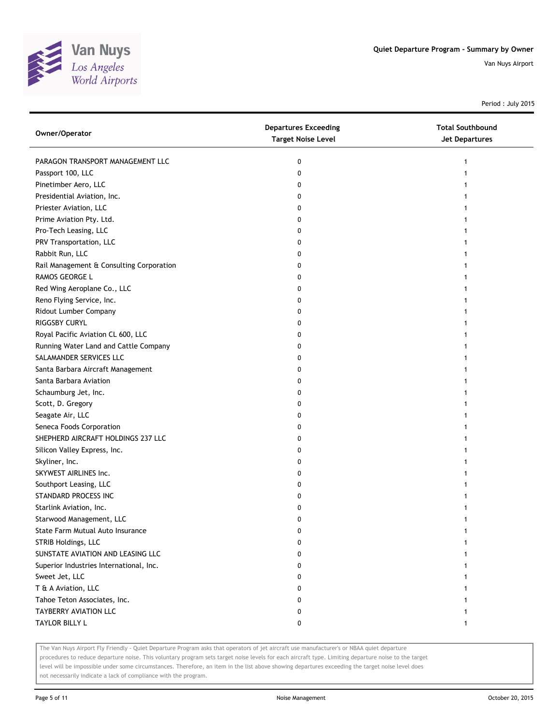

Period : July 2015

| Owner/Operator                           | <b>Departures Exceeding</b><br><b>Target Noise Level</b> | <b>Total Southbound</b><br><b>Jet Departures</b> |
|------------------------------------------|----------------------------------------------------------|--------------------------------------------------|
| PARAGON TRANSPORT MANAGEMENT LLC         | 0                                                        |                                                  |
| Passport 100, LLC                        | 0                                                        |                                                  |
| Pinetimber Aero, LLC                     | 0                                                        |                                                  |
| Presidential Aviation, Inc.              | 0                                                        |                                                  |
| Priester Aviation, LLC                   | 0                                                        |                                                  |
| Prime Aviation Pty. Ltd.                 | 0                                                        |                                                  |
| Pro-Tech Leasing, LLC                    | 0                                                        |                                                  |
| PRV Transportation, LLC                  | 0                                                        |                                                  |
| Rabbit Run, LLC                          | 0                                                        |                                                  |
| Rail Management & Consulting Corporation | 0                                                        |                                                  |
| RAMOS GEORGE L                           | 0                                                        |                                                  |
| Red Wing Aeroplane Co., LLC              | 0                                                        |                                                  |
| Reno Flying Service, Inc.                | 0                                                        |                                                  |
| Ridout Lumber Company                    | 0                                                        |                                                  |
| RIGGSBY CURYL                            | 0                                                        |                                                  |
| Royal Pacific Aviation CL 600, LLC       | 0                                                        |                                                  |
| Running Water Land and Cattle Company    | 0                                                        |                                                  |
| SALAMANDER SERVICES LLC                  | 0                                                        |                                                  |
| Santa Barbara Aircraft Management        | 0                                                        |                                                  |
| Santa Barbara Aviation                   | 0                                                        |                                                  |
| Schaumburg Jet, Inc.                     | 0                                                        |                                                  |
| Scott, D. Gregory                        | 0                                                        |                                                  |
| Seagate Air, LLC                         | 0                                                        |                                                  |
| Seneca Foods Corporation                 | 0                                                        |                                                  |
| SHEPHERD AIRCRAFT HOLDINGS 237 LLC       | 0                                                        |                                                  |
| Silicon Valley Express, Inc.             | 0                                                        |                                                  |
| Skyliner, Inc.                           | 0                                                        |                                                  |
| SKYWEST AIRLINES Inc.                    | 0                                                        |                                                  |
| Southport Leasing, LLC                   | 0                                                        |                                                  |
| STANDARD PROCESS INC                     | 0                                                        |                                                  |
| Starlink Aviation, Inc.                  | 0                                                        |                                                  |
| Starwood Management, LLC                 | 0                                                        |                                                  |
| State Farm Mutual Auto Insurance         | o                                                        |                                                  |
| STRIB Holdings, LLC                      | 0                                                        |                                                  |
| SUNSTATE AVIATION AND LEASING LLC        | 0                                                        |                                                  |
| Superior Industries International, Inc.  | 0                                                        |                                                  |
| Sweet Jet, LLC                           | 0                                                        |                                                  |
| T & A Aviation, LLC                      | 0                                                        |                                                  |
| Tahoe Teton Associates, Inc.             | 0                                                        |                                                  |
| TAYBERRY AVIATION LLC                    | 0                                                        |                                                  |
| TAYLOR BILLY L                           | 0                                                        |                                                  |

The Van Nuys Airport Fly Friendly - Quiet Departure Program asks that operators of jet aircraft use manufacturer's or NBAA quiet departure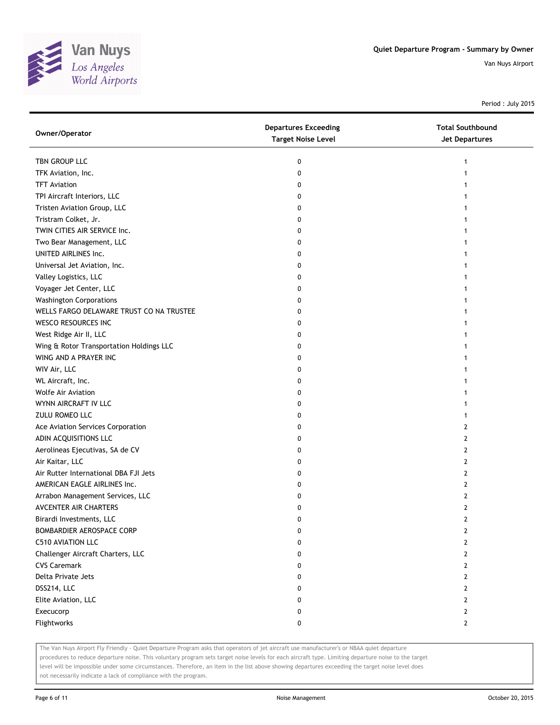

Period : July 2015

| Owner/Operator                           | <b>Departures Exceeding</b><br><b>Target Noise Level</b> | <b>Total Southbound</b><br><b>Jet Departures</b> |
|------------------------------------------|----------------------------------------------------------|--------------------------------------------------|
| TBN GROUP LLC                            | 0                                                        | 1                                                |
| TFK Aviation, Inc.                       | 0                                                        |                                                  |
| <b>TFT Aviation</b>                      | 0                                                        |                                                  |
| TPI Aircraft Interiors, LLC              | 0                                                        |                                                  |
| Tristen Aviation Group, LLC              | 0                                                        |                                                  |
| Tristram Colket, Jr.                     | 0                                                        |                                                  |
| TWIN CITIES AIR SERVICE Inc.             | 0                                                        |                                                  |
| Two Bear Management, LLC                 | 0                                                        |                                                  |
| UNITED AIRLINES Inc.                     | 0                                                        |                                                  |
| Universal Jet Aviation, Inc.             | 0                                                        |                                                  |
| Valley Logistics, LLC                    | 0                                                        |                                                  |
| Voyager Jet Center, LLC                  | 0                                                        |                                                  |
| <b>Washington Corporations</b>           | 0                                                        |                                                  |
| WELLS FARGO DELAWARE TRUST CO NA TRUSTEE | 0                                                        |                                                  |
| WESCO RESOURCES INC                      | 0                                                        |                                                  |
| West Ridge Air II, LLC                   | 0                                                        |                                                  |
| Wing & Rotor Transportation Holdings LLC | 0                                                        |                                                  |
| WING AND A PRAYER INC                    | 0                                                        |                                                  |
| WIV Air, LLC                             | 0                                                        |                                                  |
| WL Aircraft, Inc.                        | 0                                                        |                                                  |
| <b>Wolfe Air Aviation</b>                | 0                                                        |                                                  |
| WYNN AIRCRAFT IV LLC                     | 0                                                        |                                                  |
| ZULU ROMEO LLC                           | 0                                                        |                                                  |
| Ace Aviation Services Corporation        | 0                                                        | 2                                                |
| ADIN ACQUISITIONS LLC                    | 0                                                        | 2                                                |
| Aerolineas Ejecutivas, SA de CV          | 0                                                        | 2                                                |
| Air Kaitar, LLC                          | 0                                                        | 2                                                |
| Air Rutter International DBA FJI Jets    | 0                                                        | 2                                                |
| AMERICAN EAGLE AIRLINES Inc.             | 0                                                        | 2                                                |
| Arrabon Management Services, LLC         | 0                                                        | 2                                                |
| AVCENTER AIR CHARTERS                    | 0                                                        | 2                                                |
| Birardi Investments, LLC                 | 0                                                        | $\overline{2}$                                   |
| BOMBARDIER AEROSPACE CORP                | U                                                        | L                                                |
| <b>C510 AVIATION LLC</b>                 | 0                                                        | 2                                                |
| Challenger Aircraft Charters, LLC        | 0                                                        | 2                                                |
| <b>CVS Caremark</b>                      | 0                                                        | 2                                                |
| Delta Private Jets                       | 0                                                        | 2                                                |
| DSS214, LLC                              | 0                                                        | $\mathbf{2}$                                     |
| Elite Aviation, LLC                      | 0                                                        | 2                                                |
| Execucorp                                | 0                                                        | $\mathbf{2}$                                     |
| Flightworks                              | 0                                                        | $\mathbf{2}$                                     |

The Van Nuys Airport Fly Friendly - Quiet Departure Program asks that operators of jet aircraft use manufacturer's or NBAA quiet departure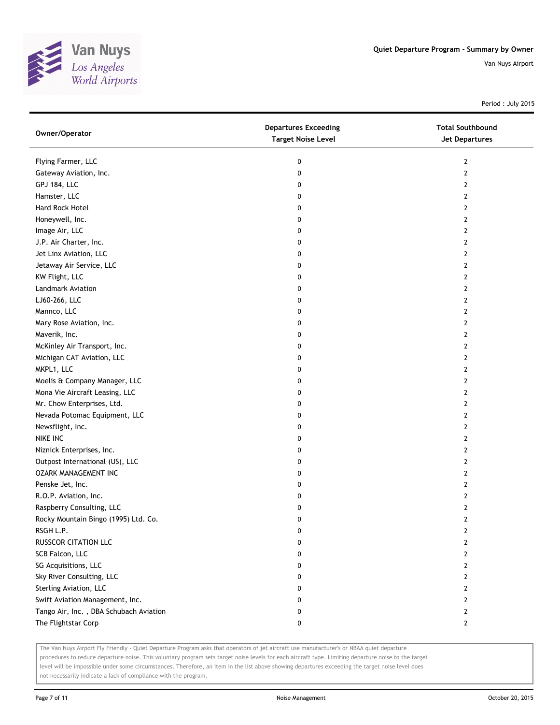

Period : July 2015

| Owner/Operator                         | <b>Departures Exceeding</b><br><b>Target Noise Level</b> | <b>Total Southbound</b><br>Jet Departures |
|----------------------------------------|----------------------------------------------------------|-------------------------------------------|
| Flying Farmer, LLC                     | 0                                                        | 2                                         |
| Gateway Aviation, Inc.                 | 0                                                        | $\overline{2}$                            |
| <b>GPJ 184, LLC</b>                    | 0                                                        | 2                                         |
| Hamster, LLC                           | 0                                                        | 2                                         |
| Hard Rock Hotel                        | 0                                                        | 2                                         |
| Honeywell, Inc.                        | 0                                                        | 2                                         |
| Image Air, LLC                         | 0                                                        | 2                                         |
| J.P. Air Charter, Inc.                 | 0                                                        | 2                                         |
| Jet Linx Aviation, LLC                 | 0                                                        | 2                                         |
| Jetaway Air Service, LLC               | 0                                                        | 2                                         |
| KW Flight, LLC                         | 0                                                        | 2                                         |
| Landmark Aviation                      | 0                                                        | $\overline{2}$                            |
| LJ60-266, LLC                          | 0                                                        | 2                                         |
| Mannco, LLC                            | 0                                                        | $\mathbf{2}$                              |
| Mary Rose Aviation, Inc.               | 0                                                        | $\mathbf{2}$                              |
| Maverik, Inc.                          | 0                                                        | $\mathbf{2}$                              |
| McKinley Air Transport, Inc.           | 0                                                        | $\mathbf{2}$                              |
| Michigan CAT Aviation, LLC             | 0                                                        | 2                                         |
| MKPL1, LLC                             | 0                                                        | 2                                         |
| Moelis & Company Manager, LLC          | 0                                                        | 2                                         |
| Mona Vie Aircraft Leasing, LLC         | 0                                                        | $\mathbf{2}$                              |
| Mr. Chow Enterprises, Ltd.             | 0                                                        | $\overline{2}$                            |
| Nevada Potomac Equipment, LLC          | 0                                                        | 2                                         |
| Newsflight, Inc.                       | 0                                                        | 2                                         |
| NIKE INC                               | 0                                                        | 2                                         |
| Niznick Enterprises, Inc.              | 0                                                        | 2                                         |
| Outpost International (US), LLC        | 0                                                        | $\mathbf{2}$                              |
| OZARK MANAGEMENT INC                   | 0                                                        | 2                                         |
| Penske Jet, Inc.                       | 0                                                        | 2                                         |
| R.O.P. Aviation, Inc.                  | 0                                                        | 2                                         |
| Raspberry Consulting, LLC              | 0                                                        | 2                                         |
| Rocky Mountain Bingo (1995) Ltd. Co.   | 0                                                        | $\overline{2}$                            |
| RSGH L.P.                              | 0                                                        | 2                                         |
| RUSSCOR CITATION LLC                   | 0                                                        | 2                                         |
| SCB Falcon, LLC                        | 0                                                        | 2                                         |
| SG Acquisitions, LLC                   | 0                                                        | 2                                         |
| Sky River Consulting, LLC              | 0                                                        | 2                                         |
| Sterling Aviation, LLC                 | 0                                                        | 2                                         |
| Swift Aviation Management, Inc.        | 0                                                        | 2                                         |
| Tango Air, Inc., DBA Schubach Aviation | 0                                                        | 2                                         |
| The Flightstar Corp                    | 0                                                        | $\mathbf{2}$                              |

The Van Nuys Airport Fly Friendly - Quiet Departure Program asks that operators of jet aircraft use manufacturer's or NBAA quiet departure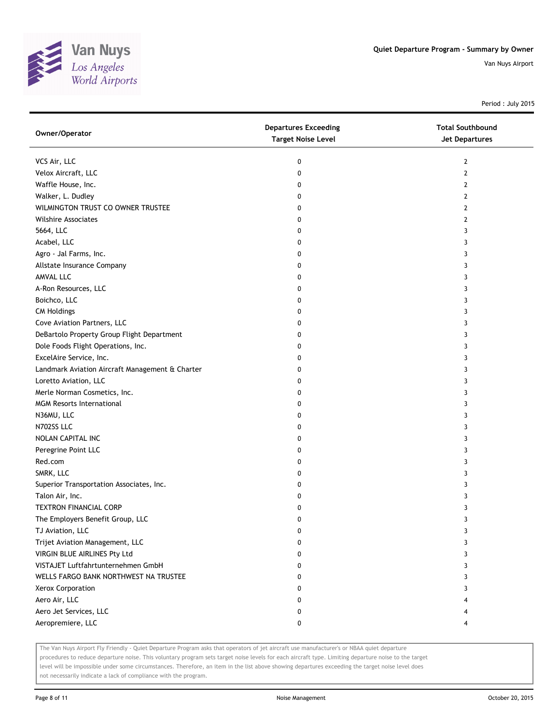

Period : July 2015

| Owner/Operator                                  | <b>Departures Exceeding</b><br><b>Target Noise Level</b> | <b>Total Southbound</b><br>Jet Departures |
|-------------------------------------------------|----------------------------------------------------------|-------------------------------------------|
| VCS Air, LLC                                    | 0                                                        | 2                                         |
| Velox Aircraft, LLC                             | 0                                                        | 2                                         |
| Waffle House, Inc.                              | 0                                                        | 2                                         |
| Walker, L. Dudley                               | 0                                                        | 2                                         |
| WILMINGTON TRUST CO OWNER TRUSTEE               | 0                                                        | 2                                         |
| <b>Wilshire Associates</b>                      | 0                                                        | 2                                         |
| 5664, LLC                                       | 0                                                        | 3                                         |
| Acabel, LLC                                     | 0                                                        | 3                                         |
| Agro - Jal Farms, Inc.                          | 0                                                        | 3                                         |
| Allstate Insurance Company                      | 0                                                        | 3                                         |
| AMVAL LLC                                       | 0                                                        | 3                                         |
| A-Ron Resources, LLC                            | 0                                                        | 3                                         |
| Boichco, LLC                                    | 0                                                        | 3                                         |
| <b>CM Holdings</b>                              | 0                                                        | 3                                         |
| Cove Aviation Partners, LLC                     | 0                                                        | 3                                         |
| DeBartolo Property Group Flight Department      | 0                                                        | 3                                         |
| Dole Foods Flight Operations, Inc.              | 0                                                        | 3                                         |
| ExcelAire Service, Inc.                         | 0                                                        | 3                                         |
| Landmark Aviation Aircraft Management & Charter | 0                                                        | 3                                         |
| Loretto Aviation, LLC                           | 0                                                        | 3                                         |
| Merle Norman Cosmetics, Inc.                    | 0                                                        | 3                                         |
| <b>MGM Resorts International</b>                | 0                                                        | 3                                         |
| N36MU, LLC                                      | 0                                                        | 3                                         |
| N702SS LLC                                      | 0                                                        | 3                                         |
| NOLAN CAPITAL INC                               | 0                                                        | 3                                         |
| Peregrine Point LLC                             | 0                                                        | 3                                         |
| Red.com                                         | 0                                                        | 3                                         |
| SMRK, LLC                                       | 0                                                        | 3                                         |
| Superior Transportation Associates, Inc.        | 0                                                        | 3                                         |
| Talon Air, Inc.                                 | 0                                                        | 3                                         |
| TEXTRON FINANCIAL CORP                          | 0                                                        | 3                                         |
| The Employers Benefit Group, LLC                | 0                                                        | 3                                         |
| TJ Aviation, LLC                                | 0                                                        | 3                                         |
| Trijet Aviation Management, LLC                 | 0                                                        | 3                                         |
| VIRGIN BLUE AIRLINES Pty Ltd                    | 0                                                        | 3                                         |
| VISTAJET Luftfahrtunternehmen GmbH              | 0                                                        | 3                                         |
| WELLS FARGO BANK NORTHWEST NA TRUSTEE           | 0                                                        | 3                                         |
| Xerox Corporation                               | 0                                                        | 3                                         |
| Aero Air, LLC                                   | 0                                                        |                                           |
| Aero Jet Services, LLC                          | 0                                                        |                                           |
| Aeropremiere, LLC                               | 0                                                        | 4                                         |

The Van Nuys Airport Fly Friendly - Quiet Departure Program asks that operators of jet aircraft use manufacturer's or NBAA quiet departure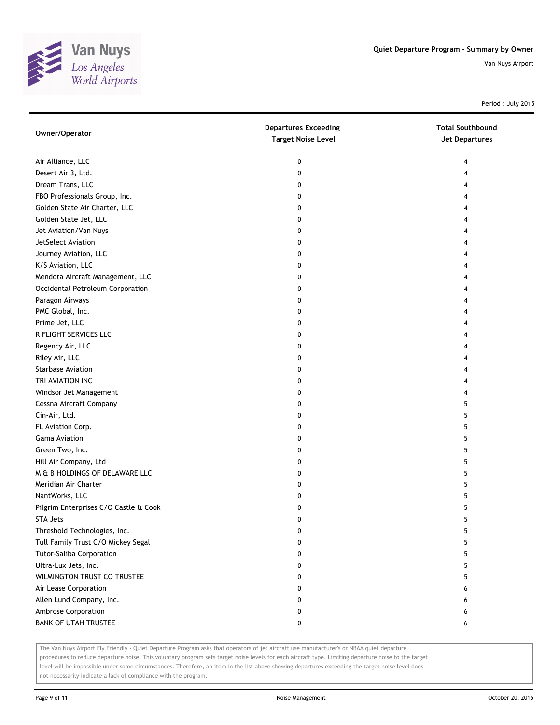

Period : July 2015

| Owner/Operator                        | <b>Departures Exceeding</b><br><b>Target Noise Level</b> | <b>Total Southbound</b><br><b>Jet Departures</b> |
|---------------------------------------|----------------------------------------------------------|--------------------------------------------------|
| Air Alliance, LLC                     | 0                                                        | 4                                                |
| Desert Air 3, Ltd.                    | 0                                                        | 4                                                |
| Dream Trans, LLC                      | 0                                                        | 4                                                |
| FBO Professionals Group, Inc.         | 0                                                        | 4                                                |
| Golden State Air Charter, LLC         | 0                                                        | 4                                                |
| Golden State Jet, LLC                 | 0                                                        | 4                                                |
| Jet Aviation/Van Nuys                 | 0                                                        | 4                                                |
| JetSelect Aviation                    | 0                                                        | 4                                                |
| Journey Aviation, LLC                 | 0                                                        | 4                                                |
| K/S Aviation, LLC                     | 0                                                        |                                                  |
| Mendota Aircraft Management, LLC      | 0                                                        | 4                                                |
| Occidental Petroleum Corporation      | 0                                                        |                                                  |
| Paragon Airways                       | 0                                                        | 4                                                |
| PMC Global, Inc.                      | 0                                                        |                                                  |
| Prime Jet, LLC                        | 0                                                        |                                                  |
| R FLIGHT SERVICES LLC                 | 0                                                        | 4                                                |
| Regency Air, LLC                      | 0                                                        | 4                                                |
| Riley Air, LLC                        | 0                                                        | 4                                                |
| <b>Starbase Aviation</b>              | 0                                                        | 4                                                |
| TRI AVIATION INC                      | 0                                                        | 4                                                |
| Windsor Jet Management                | 0                                                        | 4                                                |
| Cessna Aircraft Company               | 0                                                        | 5                                                |
| Cin-Air, Ltd.                         | 0                                                        | 5                                                |
| FL Aviation Corp.                     | 0                                                        | 5                                                |
| <b>Gama Aviation</b>                  | 0                                                        | 5                                                |
| Green Two, Inc.                       | 0                                                        | 5                                                |
| Hill Air Company, Ltd                 | 0                                                        | 5                                                |
| M & B HOLDINGS OF DELAWARE LLC        | 0                                                        | 5                                                |
| Meridian Air Charter                  | 0                                                        | 5                                                |
| NantWorks, LLC                        | 0                                                        | 5                                                |
| Pilgrim Enterprises C/O Castle & Cook | 0                                                        | 5                                                |
| <b>STA Jets</b>                       | 0                                                        | 5                                                |
| Threshold Technologies, Inc.          | 0                                                        | 5                                                |
| Tull Family Trust C/O Mickey Segal    | 0                                                        | 5                                                |
| Tutor-Saliba Corporation              | 0                                                        | 5                                                |
| Ultra-Lux Jets, Inc.                  | 0                                                        | 5                                                |
| WILMINGTON TRUST CO TRUSTEE           | 0                                                        | 5                                                |
| Air Lease Corporation                 | 0                                                        | 6                                                |
| Allen Lund Company, Inc.              | 0                                                        | 6                                                |
| Ambrose Corporation                   | 0                                                        | 6                                                |
| <b>BANK OF UTAH TRUSTEE</b>           | 0                                                        | 6                                                |

The Van Nuys Airport Fly Friendly - Quiet Departure Program asks that operators of jet aircraft use manufacturer's or NBAA quiet departure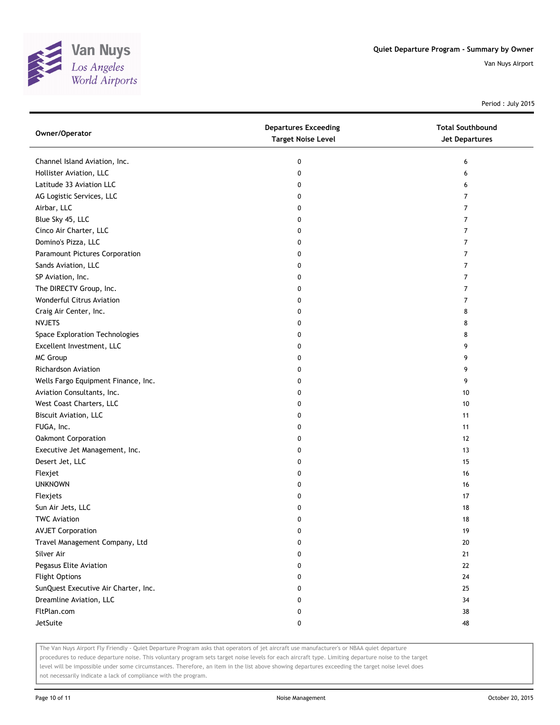

Period : July 2015

| Owner/Operator                       | <b>Departures Exceeding</b><br><b>Target Noise Level</b> | <b>Total Southbound</b><br><b>Jet Departures</b> |
|--------------------------------------|----------------------------------------------------------|--------------------------------------------------|
| Channel Island Aviation, Inc.        | 0                                                        | 6                                                |
| Hollister Aviation, LLC              | 0                                                        | 6                                                |
| Latitude 33 Aviation LLC             | 0                                                        | 6                                                |
| AG Logistic Services, LLC            | 0                                                        | 7                                                |
| Airbar, LLC                          | 0                                                        | $\overline{7}$                                   |
| Blue Sky 45, LLC                     | 0                                                        | 7                                                |
| Cinco Air Charter, LLC               | 0                                                        | 7                                                |
| Domino's Pizza, LLC                  | 0                                                        | $\overline{7}$                                   |
| Paramount Pictures Corporation       | 0                                                        | $\overline{7}$                                   |
| Sands Aviation, LLC                  | 0                                                        | $\overline{7}$                                   |
| SP Aviation, Inc.                    | 0                                                        | 7                                                |
| The DIRECTV Group, Inc.              | 0                                                        | $\overline{7}$                                   |
| Wonderful Citrus Aviation            | 0                                                        | 7                                                |
| Craig Air Center, Inc.               | 0                                                        | 8                                                |
| <b>NVJETS</b>                        | 0                                                        | 8                                                |
| Space Exploration Technologies       | 0                                                        | 8                                                |
| Excellent Investment, LLC            | 0                                                        | 9                                                |
| MC Group                             | 0                                                        | 9                                                |
| <b>Richardson Aviation</b>           | 0                                                        | 9                                                |
| Wells Fargo Equipment Finance, Inc.  | 0                                                        | 9                                                |
| Aviation Consultants, Inc.           | 0                                                        | 10                                               |
| West Coast Charters, LLC             | 0                                                        | 10                                               |
| <b>Biscuit Aviation, LLC</b>         | 0                                                        | 11                                               |
| FUGA, Inc.                           | 0                                                        | 11                                               |
| Oakmont Corporation                  | 0                                                        | 12                                               |
| Executive Jet Management, Inc.       | 0                                                        | 13                                               |
| Desert Jet, LLC                      | 0                                                        | 15                                               |
| Flexjet                              | 0                                                        | 16                                               |
| <b>UNKNOWN</b>                       | 0                                                        | 16                                               |
| Flexjets                             | 0                                                        | 17                                               |
| Sun Air Jets, LLC                    | 0                                                        | 18                                               |
| <b>TWC Aviation</b>                  | 0                                                        | 18                                               |
| <b>AVJET Corporation</b>             | 0                                                        | 19                                               |
| Travel Management Company, Ltd       | 0                                                        | 20                                               |
| Silver Air                           | 0                                                        | 21                                               |
| Pegasus Elite Aviation               | 0                                                        | 22                                               |
| <b>Flight Options</b>                | 0                                                        | 24                                               |
| SunQuest Executive Air Charter, Inc. | 0                                                        | 25                                               |
| Dreamline Aviation, LLC              | 0                                                        | 34                                               |
| FltPlan.com                          | 0                                                        | 38                                               |
| JetSuite                             | 0                                                        | 48                                               |

The Van Nuys Airport Fly Friendly - Quiet Departure Program asks that operators of jet aircraft use manufacturer's or NBAA quiet departure